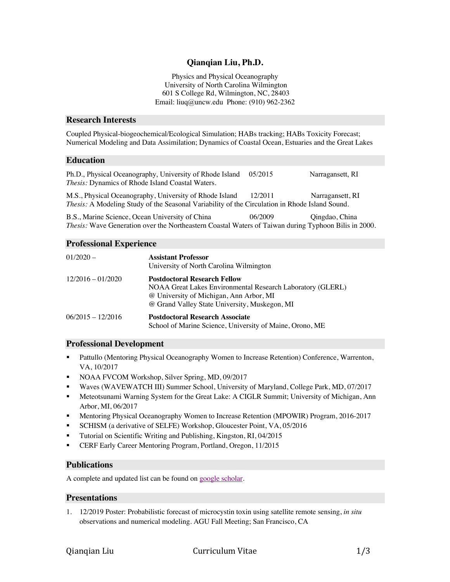# **Qianqian Liu, Ph.D.**

Physics and Physical Oceanography University of North Carolina Wilmington 601 S College Rd, Wilmington, NC, 28403 Email: liuq@uncw.edu Phone: (910) 962-2362

#### **Research Interests**

Coupled Physical-biogeochemical/Ecological Simulation; HABs tracking; HABs Toxicity Forecast; Numerical Modeling and Data Assimilation; Dynamics of Coastal Ocean, Estuaries and the Great Lakes

#### **Education**

| Ph.D., Physical Oceanography, University of Rhode Island<br><i>Thesis:</i> Dynamics of Rhode Island Coastal Waters.                                              | 05/2015 | Narragansett, RI |
|------------------------------------------------------------------------------------------------------------------------------------------------------------------|---------|------------------|
| M.S., Physical Oceanography, University of Rhode Island<br><i>Thesis:</i> A Modeling Study of the Seasonal Variability of the Circulation in Rhode Island Sound. | 12/2011 | Narragansett, RI |
|                                                                                                                                                                  |         |                  |

B.S., Marine Science, Ocean University of China 06/2009 Qingdao, China *Thesis:* Wave Generation over the Northeastern Coastal Waters of Taiwan during Typhoon Bilis in 2000.

#### **Professional Experience**

| $01/2020 -$         | <b>Assistant Professor</b><br>University of North Carolina Wilmington                                                                                                                         |
|---------------------|-----------------------------------------------------------------------------------------------------------------------------------------------------------------------------------------------|
| $12/2016 - 01/2020$ | <b>Postdoctoral Research Fellow</b><br>NOAA Great Lakes Environmental Research Laboratory (GLERL)<br>@ University of Michigan, Ann Arbor, MI<br>@ Grand Valley State University, Muskegon, MI |
| $06/2015 - 12/2016$ | <b>Postdoctoral Research Associate</b><br>School of Marine Science, University of Maine, Orono, ME                                                                                            |

#### **Professional Development**

- **•** Pattullo (Mentoring Physical Oceanography Women to Increase Retention) Conference, Warrenton, VA, 10/2017
- NOAA FVCOM Workshop, Silver Spring, MD, 09/2017
- § Waves (WAVEWATCH III) Summer School, University of Maryland, College Park, MD, 07/2017
- **•** Meteotsunami Warning System for the Great Lake: A CIGLR Summit; University of Michigan, Ann Arbor, MI, 06/2017
- Mentoring Physical Oceanography Women to Increase Retention (MPOWIR) Program, 2016-2017
- SCHISM (a derivative of SELFE) Workshop, Gloucester Point, VA, 05/2016
- Tutorial on Scientific Writing and Publishing, Kingston, RI, 04/2015
- CERF Early Career Mentoring Program, Portland, Oregon, 11/2015

## **Publications**

A complete and updated list can be found on google scholar.

## **Presentations**

1. 12/2019 Poster: Probabilistic forecast of microcystin toxin using satellite remote sensing, *in situ* observations and numerical modeling. AGU Fall Meeting; San Francisco, CA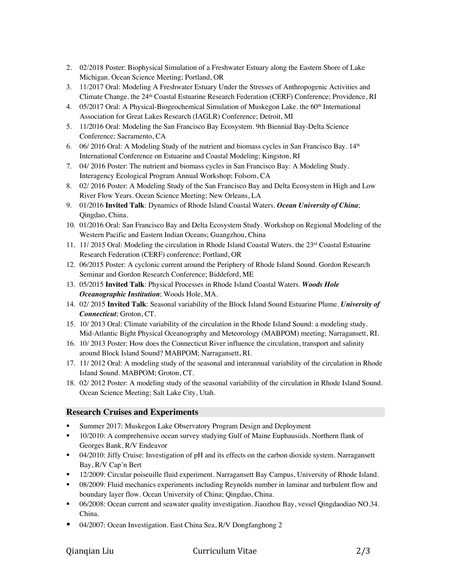- 2. 02/2018 Poster: Biophysical Simulation of a Freshwater Estuary along the Eastern Shore of Lake Michigan. Ocean Science Meeting; Portland, OR
- 3. 11/2017 Oral: Modeling A Freshwater Estuary Under the Stresses of Anthropogenic Activities and Climate Change. the 24th Coastal Estuarine Research Federation (CERF) Conference; Providence, RI
- 4. 05/2017 Oral: A Physical-Biogeochemical Simulation of Muskegon Lake. the 60<sup>th</sup> International Association for Great Lakes Research (IAGLR) Conference; Detroit, MI
- 5. 11/2016 Oral: Modeling the San Francisco Bay Ecosystem. 9th Biennial Bay-Delta Science Conference; Sacramento, CA
- 6. 06/ 2016 Oral: A Modeling Study of the nutrient and biomass cycles in San Francisco Bay.  $14<sup>th</sup>$ International Conference on Estuarine and Coastal Modeling; Kingston, RI
- 7. 04/ 2016 Poster: The nutrient and biomass cycles in San Francisco Bay: A Modeling Study. Interagency Ecological Program Annual Workshop; Folsom, CA
- 8. 02/ 2016 Poster: A Modeling Study of the San Francisco Bay and Delta Ecosystem in High and Low River Flow Years. Ocean Science Meeting; New Orleans, LA
- 9. 01/2016 **Invited Talk**: Dynamics of Rhode Island Coastal Waters. *Ocean University of China*; Qingdao, China.
- 10. 01/2016 Oral: San Francisco Bay and Delta Ecosystem Study. Workshop on Regional Modeling of the Western Pacific and Eastern Indian Oceans; Guangzhou, China
- 11. 11/ 2015 Oral: Modeling the circulation in Rhode Island Coastal Waters. the 23rd Coastal Estuarine Research Federation (CERF) conference; Portland, OR
- 12. 06/2015 Poster: A cyclonic current around the Periphery of Rhode Island Sound. Gordon Research Seminar and Gordon Research Conference; Biddeford, ME
- 13. 05/2015 **Invited Talk**: Physical Processes in Rhode Island Coastal Waters. *Woods Hole Oceanographic Institution*; Woods Hole, MA.
- 14. 02/ 2015 **Invited Talk**: Seasonal variability of the Block Island Sound Estuarine Plume. *University of Connecticut*; Groton, CT.
- 15. 10/ 2013 Oral: Climate variability of the circulation in the Rhode Island Sound: a modeling study. Mid-Atlantic Bight Physical Oceanography and Meteorology (MABPOM) meeting; Narragansett, RI.
- 16. 10/ 2013 Poster: How does the Connecticut River influence the circulation, transport and salinity around Block Island Sound? MABPOM; Narragansett, RI.
- 17. 11/ 2012 Oral: A modeling study of the seasonal and interannual variability of the circulation in Rhode Island Sound. MABPOM; Groton, CT.
- 18. 02/ 2012 Poster: A modeling study of the seasonal variability of the circulation in Rhode Island Sound. Ocean Science Meeting; Salt Lake City, Utah.

# **Research Cruises and Experiments**

- § Summer 2017: Muskegon Lake Observatory Program Design and Deployment
- <sup>■</sup> 10/2010: A comprehensive ocean survey studying Gulf of Maine Euphausiids. Northern flank of Georges Bank, R/V Endeavor
- § 04/2010: Jiffy Cruise: Investigation of pH and its effects on the carbon dioxide system. Narragansett Bay, R/V Cap'n Bert
- 12/2009: Circular poiseuille fluid experiment. Narragansett Bay Campus, University of Rhode Island.
- § 08/2009: Fluid mechanics experiments including Reynolds number in laminar and turbulent flow and boundary layer flow. Ocean University of China; Qingdao, China.
- 06/2008: Ocean current and seawater quality investigation. Jiaozhou Bay, vessel Qingdaodiao NO.34. China.
- § 04/2007: Ocean Investigation. East China Sea, R/V Dongfanghong 2